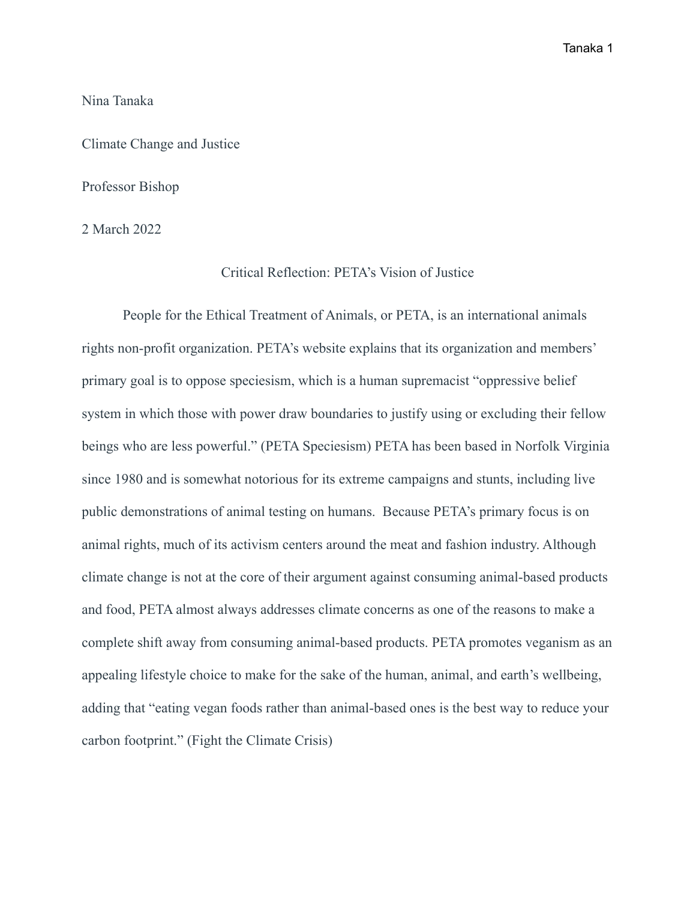## Nina Tanaka

Climate Change and Justice

## Professor Bishop

2 March 2022

## Critical Reflection: PETA's Vision of Justice

People for the Ethical Treatment of Animals, or PETA, is an international animals rights non-profit organization. PETA's website explains that its organization and members' primary goal is to oppose speciesism, which is a human supremacist "oppressive belief system in which those with power draw boundaries to justify using or excluding their fellow beings who are less powerful." (PETA Speciesism) PETA has been based in Norfolk Virginia since 1980 and is somewhat notorious for its extreme campaigns and stunts, including live public demonstrations of animal testing on humans. Because PETA's primary focus is on animal rights, much of its activism centers around the meat and fashion industry. Although climate change is not at the core of their argument against consuming animal-based products and food, PETA almost always addresses climate concerns as one of the reasons to make a complete shift away from consuming animal-based products. PETA promotes veganism as an appealing lifestyle choice to make for the sake of the human, animal, and earth's wellbeing, adding that "eating vegan foods rather than animal-based ones is the best way to reduce your carbon footprint." (Fight the Climate Crisis)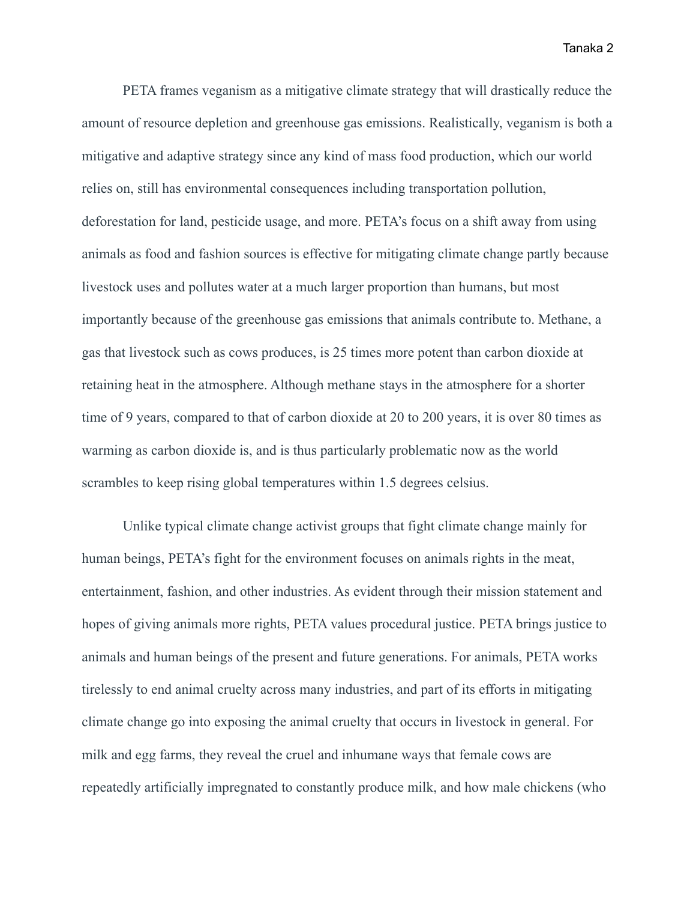PETA frames veganism as a mitigative climate strategy that will drastically reduce the amount of resource depletion and greenhouse gas emissions. Realistically, veganism is both a mitigative and adaptive strategy since any kind of mass food production, which our world relies on, still has environmental consequences including transportation pollution, deforestation for land, pesticide usage, and more. PETA's focus on a shift away from using animals as food and fashion sources is effective for mitigating climate change partly because livestock uses and pollutes water at a much larger proportion than humans, but most importantly because of the greenhouse gas emissions that animals contribute to. Methane, a gas that livestock such as cows produces, is 25 times more potent than carbon dioxide at retaining heat in the atmosphere. Although methane stays in the atmosphere for a shorter time of 9 years, compared to that of carbon dioxide at 20 to 200 years, it is over 80 times as warming as carbon dioxide is, and is thus particularly problematic now as the world scrambles to keep rising global temperatures within 1.5 degrees celsius.

Unlike typical climate change activist groups that fight climate change mainly for human beings, PETA's fight for the environment focuses on animals rights in the meat, entertainment, fashion, and other industries. As evident through their mission statement and hopes of giving animals more rights, PETA values procedural justice. PETA brings justice to animals and human beings of the present and future generations. For animals, PETA works tirelessly to end animal cruelty across many industries, and part of its efforts in mitigating climate change go into exposing the animal cruelty that occurs in livestock in general. For milk and egg farms, they reveal the cruel and inhumane ways that female cows are repeatedly artificially impregnated to constantly produce milk, and how male chickens (who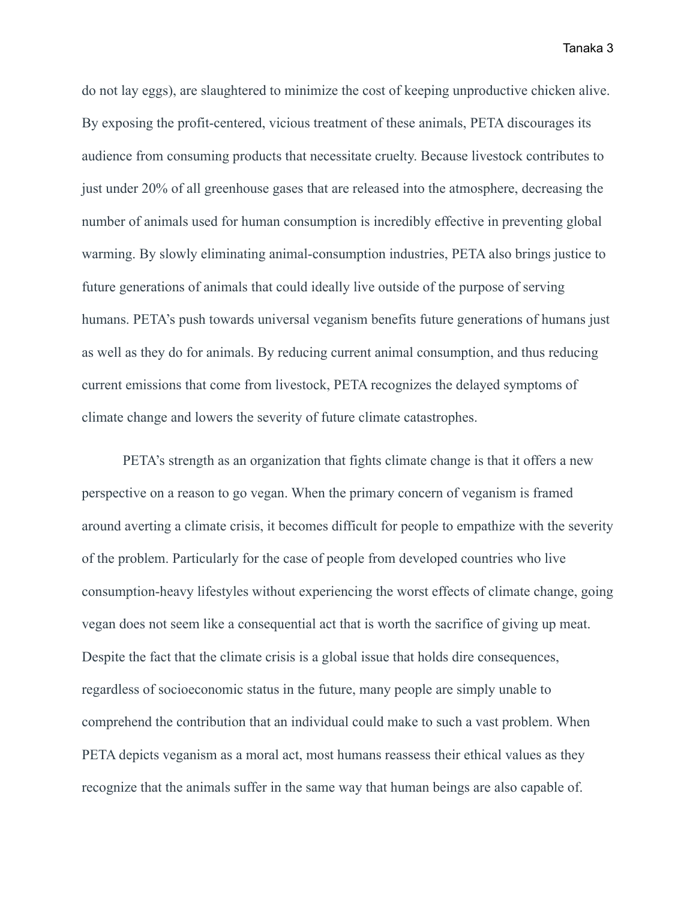do not lay eggs), are slaughtered to minimize the cost of keeping unproductive chicken alive. By exposing the profit-centered, vicious treatment of these animals, PETA discourages its audience from consuming products that necessitate cruelty. Because livestock contributes to just under 20% of all greenhouse gases that are released into the atmosphere, decreasing the number of animals used for human consumption is incredibly effective in preventing global warming. By slowly eliminating animal-consumption industries, PETA also brings justice to future generations of animals that could ideally live outside of the purpose of serving humans. PETA's push towards universal veganism benefits future generations of humans just as well as they do for animals. By reducing current animal consumption, and thus reducing current emissions that come from livestock, PETA recognizes the delayed symptoms of climate change and lowers the severity of future climate catastrophes.

PETA's strength as an organization that fights climate change is that it offers a new perspective on a reason to go vegan. When the primary concern of veganism is framed around averting a climate crisis, it becomes difficult for people to empathize with the severity of the problem. Particularly for the case of people from developed countries who live consumption-heavy lifestyles without experiencing the worst effects of climate change, going vegan does not seem like a consequential act that is worth the sacrifice of giving up meat. Despite the fact that the climate crisis is a global issue that holds dire consequences, regardless of socioeconomic status in the future, many people are simply unable to comprehend the contribution that an individual could make to such a vast problem. When PETA depicts veganism as a moral act, most humans reassess their ethical values as they recognize that the animals suffer in the same way that human beings are also capable of.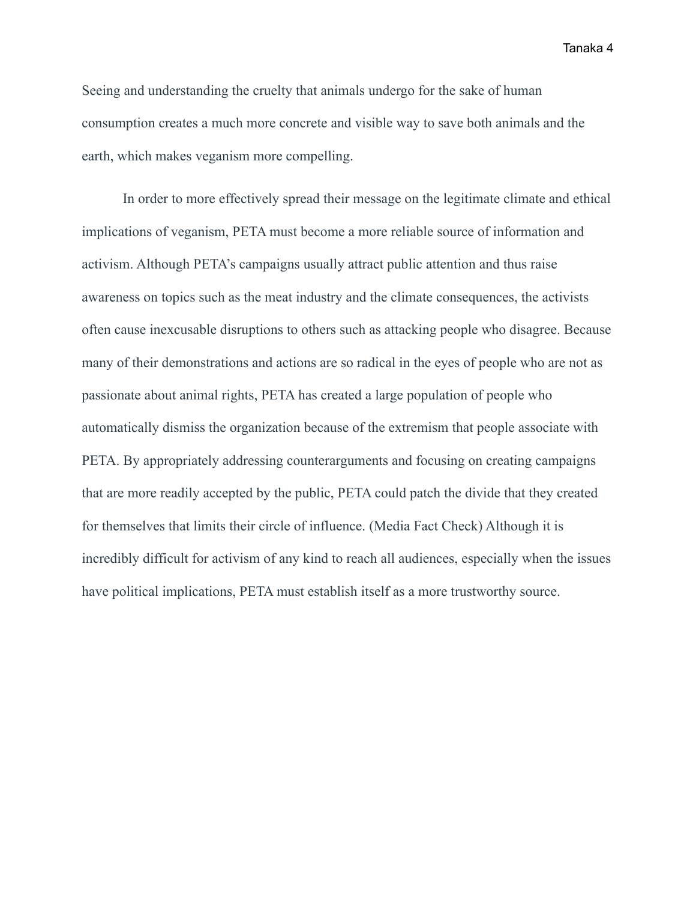Seeing and understanding the cruelty that animals undergo for the sake of human consumption creates a much more concrete and visible way to save both animals and the earth, which makes veganism more compelling.

In order to more effectively spread their message on the legitimate climate and ethical implications of veganism, PETA must become a more reliable source of information and activism. Although PETA's campaigns usually attract public attention and thus raise awareness on topics such as the meat industry and the climate consequences, the activists often cause inexcusable disruptions to others such as attacking people who disagree. Because many of their demonstrations and actions are so radical in the eyes of people who are not as passionate about animal rights, PETA has created a large population of people who automatically dismiss the organization because of the extremism that people associate with PETA. By appropriately addressing counterarguments and focusing on creating campaigns that are more readily accepted by the public, PETA could patch the divide that they created for themselves that limits their circle of influence. (Media Fact Check) Although it is incredibly difficult for activism of any kind to reach all audiences, especially when the issues have political implications, PETA must establish itself as a more trustworthy source.